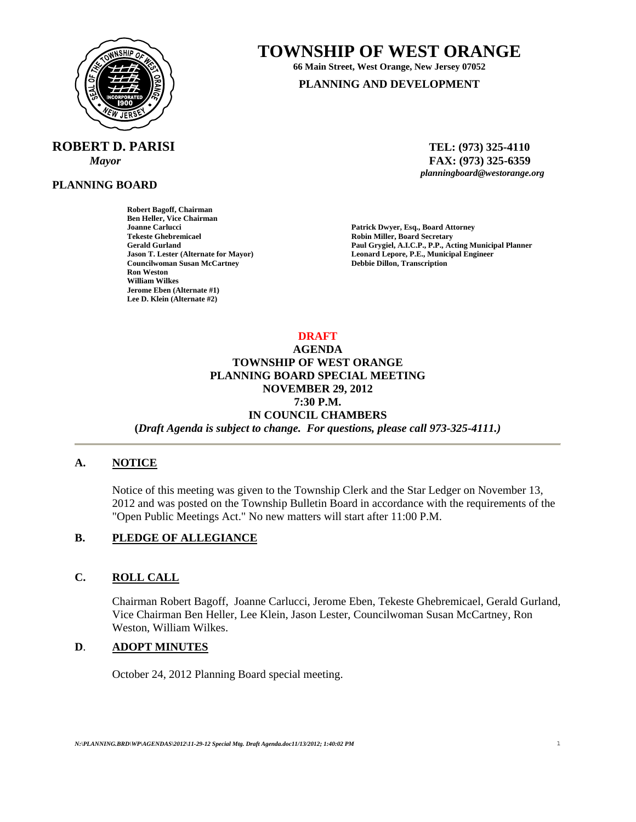

# **ROBERT D. PARISI TEL: (973) 325-4110**

**PLANNING BOARD**

**Robert Bagoff, Chairman Ben Heller, Vice Chairman Tekeste Ghebremicael 2008 18 Communication 18 Communication 18 Communication 18 Communication 18 Communication 18 Communication 18 Communication 18 Communication 18 Communication 18 Communication 18 Communication 18 Commu Councilwoman Susan McCartney Ron Weston William Wilkes Jerome Eben (Alternate #1) Lee D. Klein (Alternate #2)** 

# **TOWNSHIP OF WEST ORANGE**

**66 Main Street, West Orange, New Jersey 07052 PLANNING AND DEVELOPMENT**

*Mayor* **and** *FAX***: (973) 325-6359** *<b>PAX*: (973) 325-6359 *planningboard@westorange.org planningboard@westorange.org* 

**Joanne Carlucci Patrick Dwyer, Esq., Board Attorney**  Paul Grygiel, A.I.C.P., P.P., Acting Municipal Planner **Jason T. Lester (Alternate for Mayor) Leonard Lepore, P.E., Municipal Engineer** 

**DRAFT** 

# **AGENDA TOWNSHIP OF WEST ORANGE PLANNING BOARD SPECIAL MEETING NOVEMBER 29, 2012 7:30 P.M. IN COUNCIL CHAMBERS**

**(***Draft Agenda is subject to change. For questions, please call 973-325-4111.)*

#### **A. NOTICE**

Notice of this meeting was given to the Township Clerk and the Star Ledger on November 13, 2012 and was posted on the Township Bulletin Board in accordance with the requirements of the "Open Public Meetings Act." No new matters will start after 11:00 P.M.

## **B. PLEDGE OF ALLEGIANCE**

#### **C. ROLL CALL**

Chairman Robert Bagoff, Joanne Carlucci, Jerome Eben, Tekeste Ghebremicael, Gerald Gurland, Vice Chairman Ben Heller, Lee Klein, Jason Lester, Councilwoman Susan McCartney, Ron Weston, William Wilkes.

#### **D**. **ADOPT MINUTES**

October 24, 2012 Planning Board special meeting.